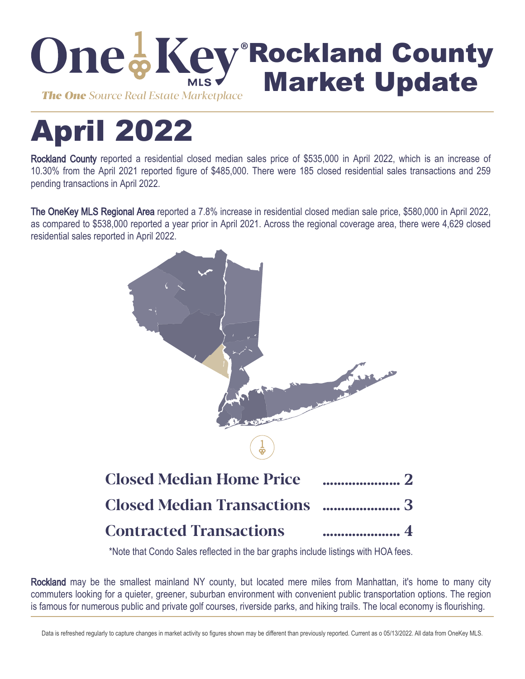

# April 2022

Rockland County reported a residential closed median sales price of \$535,000 in April 2022, which is an increase of 10.30% from the April 2021 reported figure of \$485,000. There were 185 closed residential sales transactions and 259 pending transactions in April 2022.

The OneKey MLS Regional Area reported a 7.8% increase in residential closed median sale price, \$580,000 in April 2022, as compared to \$538,000 reported a year prior in April 2021. Across the regional coverage area, there were 4,629 closed residential sales reported in April 2022.



\*Note that Condo Sales reflected in the bar graphs include listings with HOA fees.

Rockland may be the smallest mainland NY county, but located mere miles from Manhattan, it's home to many city commuters looking for a quieter, greener, suburban environment with convenient public transportation options. The region is famous for numerous public and private golf courses, riverside parks, and hiking trails. The local economy is flourishing.

Data is refreshed regularly to capture changes in market activity so figures shown may be different than previously reported. Current as o 05/13/2022. All data from OneKey MLS.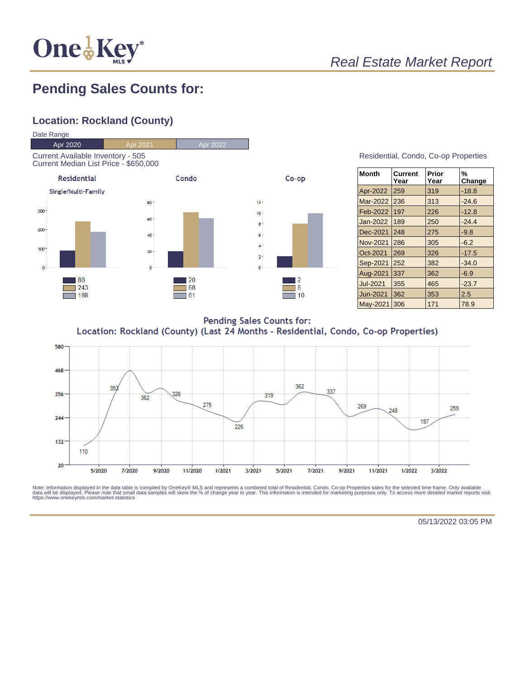

# Real Estate Market Report

### **Pending Sales Counts for:**

#### **Location: Rockland (County)**



#### Residential, Condo, Co-op Properties

| <b>Month</b> | <b>Current</b><br>Year | Prior<br>Year | %<br>Change |
|--------------|------------------------|---------------|-------------|
| Apr-2022     | 259                    | 319           | $-18.8$     |
| Mar-2022     | 236                    | 313           | $-24.6$     |
| Feb-2022     | 197                    | 226           | $-12.8$     |
| Jan-2022     | 189                    | 250           | $-24.4$     |
| Dec-2021     | 248                    | 275           | $-9.8$      |
| Nov-2021     | 286                    | 305           | $-6.2$      |
| Oct-2021     | 269                    | 326           | $-17.5$     |
| Sep-2021     | 252                    | 382           | $-34.0$     |
| Aug-2021     | 337                    | 362           | $-6.9$      |
| Jul-2021     | 355                    | 465           | $-23.7$     |
| Jun-2021     | 362                    | 353           | 2.5         |
| May-2021     | 306                    | 171           | 78.9        |

**Pending Sales Counts for:** Location: Rockland (County) (Last 24 Months - Residential, Condo, Co-op Properties)



Note: Information displayed in the data table is compiled by OneKey® MLS and represents a combined total of Residential, Condo, Co-op Properties sales for the selected time frame. Only available<br>data will be displayed. Pl

05/13/2022 03:05 PM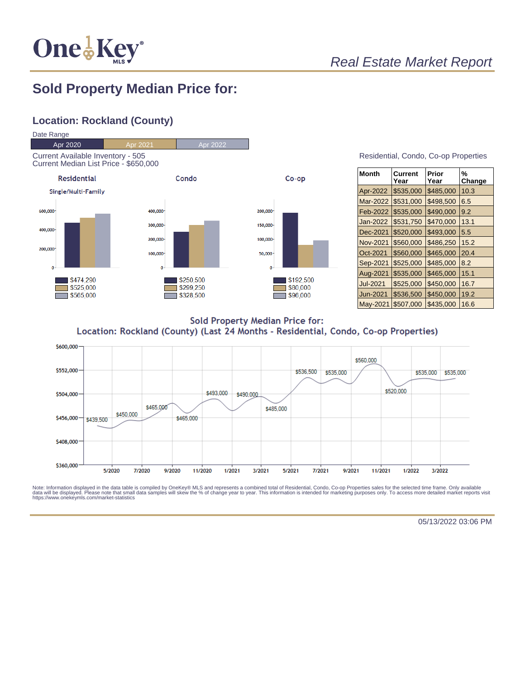

# Real Estate Market Report

### **Sold Property Median Price for:**

#### **Location: Rockland (County)**



| Residential, Condo, Co-op Properties |  |  |
|--------------------------------------|--|--|
|                                      |  |  |

| <b>Month</b>    | Current<br>Year | Prior<br>Year | %<br>Change |
|-----------------|-----------------|---------------|-------------|
| Apr-2022        | \$535,000       | \$485,000     | 10.3        |
| Mar-2022        | \$531,000       | \$498,500     | 6.5         |
| Feb-2022        | \$535,000       | \$490,000     | 9.2         |
| Jan-2022        | \$531,750       | \$470,000     | 13.1        |
| Dec-2021        | \$520,000       | \$493,000     | 5.5         |
| <b>Nov-2021</b> | \$560,000       | \$486,250     | 15.2        |
| Oct-2021        | \$560,000       | \$465,000     | 20.4        |
| Sep-2021        | \$525,000       | \$485.000     | 8.2         |
| Aug-2021        | \$535,000       | \$465,000     | 15.1        |
| Jul-2021        | \$525,000       | \$450,000     | 16.7        |
| Jun-2021        | \$536,500       | \$450,000     | 19.2        |
| May-2021        | \$507,000       | \$435,000     | 16.6        |

**Sold Property Median Price for:** Location: Rockland (County) (Last 24 Months - Residential, Condo, Co-op Properties)



Note: Information displayed in the data table is compiled by OneKey® MLS and represents a combined total of Residential, Condo, Co-op Properties sales for the selected time frame. Only available<br>data will be displayed. Pl

05/13/2022 03:06 PM